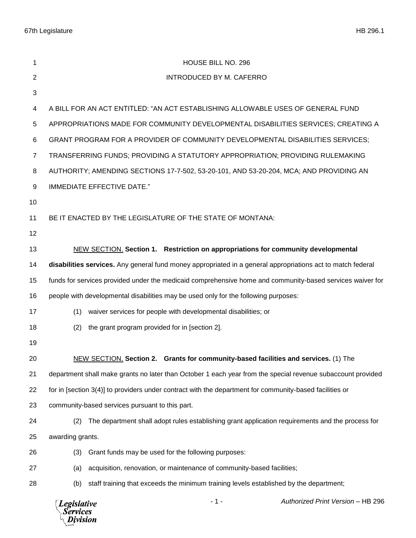| 1              | HOUSE BILL NO. 296                                                                                          |
|----------------|-------------------------------------------------------------------------------------------------------------|
| 2              | <b>INTRODUCED BY M. CAFERRO</b>                                                                             |
| 3              |                                                                                                             |
| 4              | A BILL FOR AN ACT ENTITLED: "AN ACT ESTABLISHING ALLOWABLE USES OF GENERAL FUND                             |
| 5              | APPROPRIATIONS MADE FOR COMMUNITY DEVELOPMENTAL DISABILITIES SERVICES; CREATING A                           |
| 6              | GRANT PROGRAM FOR A PROVIDER OF COMMUNITY DEVELOPMENTAL DISABILITIES SERVICES;                              |
| $\overline{7}$ | TRANSFERRING FUNDS; PROVIDING A STATUTORY APPROPRIATION; PROVIDING RULEMAKING                               |
| 8              | AUTHORITY; AMENDING SECTIONS 17-7-502, 53-20-101, AND 53-20-204, MCA; AND PROVIDING AN                      |
| 9              | <b>IMMEDIATE EFFECTIVE DATE."</b>                                                                           |
| 10             |                                                                                                             |
| 11             | BE IT ENACTED BY THE LEGISLATURE OF THE STATE OF MONTANA:                                                   |
| 12             |                                                                                                             |
| 13             | NEW SECTION. Section 1. Restriction on appropriations for community developmental                           |
| 14             | disabilities services. Any general fund money appropriated in a general appropriations act to match federal |
| 15             | funds for services provided under the medicaid comprehensive home and community-based services waiver for   |
| 16             | people with developmental disabilities may be used only for the following purposes:                         |
| 17             | waiver services for people with developmental disabilities; or<br>(1)                                       |
| 18             | the grant program provided for in [section 2].<br>(2)                                                       |
| 19             |                                                                                                             |
| 20             | <b>NEW SECTION.</b> Section 2. Grants for community-based facilities and services. (1) The                  |
| 21             | department shall make grants no later than October 1 each year from the special revenue subaccount provided |
| 22             | for in [section 3(4)] to providers under contract with the department for community-based facilities or     |
| 23             | community-based services pursuant to this part.                                                             |
| 24             | The department shall adopt rules establishing grant application requirements and the process for<br>(2)     |
| 25             | awarding grants.                                                                                            |
| 26             | Grant funds may be used for the following purposes:<br>(3)                                                  |
| 27             | acquisition, renovation, or maintenance of community-based facilities;<br>(a)                               |
| 28             | staff training that exceeds the minimum training levels established by the department;<br>(b)               |
|                | $-1-$<br>Authorized Print Version - HB 296<br><b>Legislative</b><br><b>Services</b><br>Division             |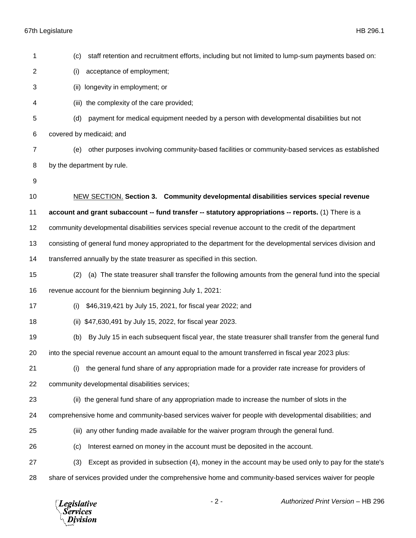|                | Authorized Print Version - HB 296<br>$-2-$<br>Legislative<br>Services<br>Division                                           |
|----------------|-----------------------------------------------------------------------------------------------------------------------------|
| 28             | share of services provided under the comprehensive home and community-based services waiver for people                      |
| 27             | Except as provided in subsection (4), money in the account may be used only to pay for the state's<br>(3)                   |
| 26             | Interest earned on money in the account must be deposited in the account.<br>(c)                                            |
| 25             | (iii) any other funding made available for the waiver program through the general fund.                                     |
| 24             | comprehensive home and community-based services waiver for people with developmental disabilities; and                      |
| 23             | (ii) the general fund share of any appropriation made to increase the number of slots in the                                |
| 22             | community developmental disabilities services;                                                                              |
| 21             | the general fund share of any appropriation made for a provider rate increase for providers of<br>(i)                       |
| 20             | into the special revenue account an amount equal to the amount transferred in fiscal year 2023 plus:                        |
| 19             | By July 15 in each subsequent fiscal year, the state treasurer shall transfer from the general fund<br>(b)                  |
| 18             | (ii) \$47,630,491 by July 15, 2022, for fiscal year 2023.                                                                   |
| 17             | \$46,319,421 by July 15, 2021, for fiscal year 2022; and<br>(i)                                                             |
| 16             | revenue account for the biennium beginning July 1, 2021:                                                                    |
| 15             | (a) The state treasurer shall transfer the following amounts from the general fund into the special<br>(2)                  |
| 14             | transferred annually by the state treasurer as specified in this section.                                                   |
| 13             | consisting of general fund money appropriated to the department for the developmental services division and                 |
| 12             | community developmental disabilities services special revenue account to the credit of the department                       |
| 11             | account and grant subaccount -- fund transfer -- statutory appropriations -- reports. (1) There is a                        |
| 10             | NEW SECTION. Section 3. Community developmental disabilities services special revenue                                       |
| 9              |                                                                                                                             |
| 8              | by the department by rule.                                                                                                  |
| $\overline{7}$ | other purposes involving community-based facilities or community-based services as established<br>(e)                       |
| 5<br>6         | payment for medical equipment needed by a person with developmental disabilities but not<br>(d)<br>covered by medicaid; and |
| 4              | (iii) the complexity of the care provided;                                                                                  |
| 3              | longevity in employment; or<br>(ii)                                                                                         |
| $\overline{2}$ | acceptance of employment;<br>(i)                                                                                            |
| 1              | staff retention and recruitment efforts, including but not limited to lump-sum payments based on:<br>(c)                    |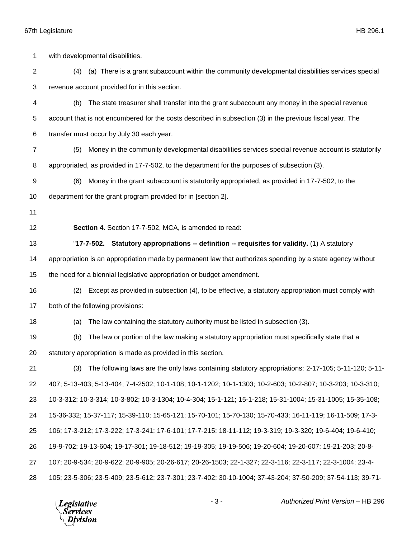- 3 - *Authorized Print Version* – HB 296 with developmental disabilities. (4) (a) There is a grant subaccount within the community developmental disabilities services special revenue account provided for in this section. (b) The state treasurer shall transfer into the grant subaccount any money in the special revenue account that is not encumbered for the costs described in subsection (3) in the previous fiscal year. The transfer must occur by July 30 each year. (5) Money in the community developmental disabilities services special revenue account is statutorily appropriated, as provided in 17-7-502, to the department for the purposes of subsection (3). (6) Money in the grant subaccount is statutorily appropriated, as provided in 17-7-502, to the department for the grant program provided for in [section 2]. **Section 4.** Section 17-7-502, MCA, is amended to read: "**17-7-502. Statutory appropriations -- definition -- requisites for validity.** (1) A statutory appropriation is an appropriation made by permanent law that authorizes spending by a state agency without the need for a biennial legislative appropriation or budget amendment. (2) Except as provided in subsection (4), to be effective, a statutory appropriation must comply with both of the following provisions: (a) The law containing the statutory authority must be listed in subsection (3). (b) The law or portion of the law making a statutory appropriation must specifically state that a statutory appropriation is made as provided in this section. (3) The following laws are the only laws containing statutory appropriations: 2-17-105; 5-11-120; 5-11- 407; 5-13-403; 5-13-404; 7-4-2502; 10-1-108; 10-1-1202; 10-1-1303; 10-2-603; 10-2-807; 10-3-203; 10-3-310; 10-3-312; 10-3-314; 10-3-802; 10-3-1304; 10-4-304; 15-1-121; 15-1-218; 15-31-1004; 15-31-1005; 15-35-108; 15-36-332; 15-37-117; 15-39-110; 15-65-121; 15-70-101; 15-70-130; 15-70-433; 16-11-119; 16-11-509; 17-3- 106; 17-3-212; 17-3-222; 17-3-241; 17-6-101; 17-7-215; 18-11-112; 19-3-319; 19-3-320; 19-6-404; 19-6-410; 19-9-702; 19-13-604; 19-17-301; 19-18-512; 19-19-305; 19-19-506; 19-20-604; 19-20-607; 19-21-203; 20-8- 107; 20-9-534; 20-9-622; 20-9-905; 20-26-617; 20-26-1503; 22-1-327; 22-3-116; 22-3-117; 22-3-1004; 23-4- 105; 23-5-306; 23-5-409; 23-5-612; 23-7-301; 23-7-402; 30-10-1004; 37-43-204; 37-50-209; 37-54-113; 39-71-

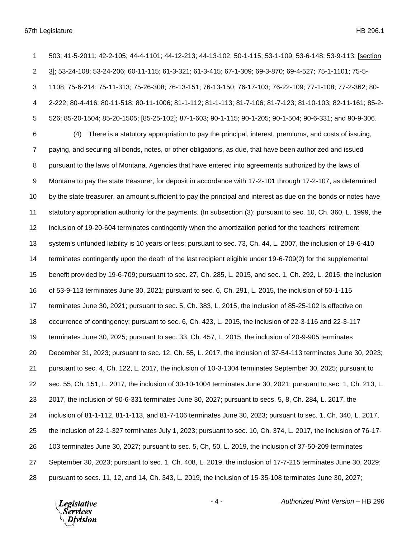503; 41-5-2011; 42-2-105; 44-4-1101; 44-12-213; 44-13-102; 50-1-115; 53-1-109; 53-6-148; 53-9-113; [section 3]; 53-24-108; 53-24-206; 60-11-115; 61-3-321; 61-3-415; 67-1-309; 69-3-870; 69-4-527; 75-1-1101; 75-5- 1108; 75-6-214; 75-11-313; 75-26-308; 76-13-151; 76-13-150; 76-17-103; 76-22-109; 77-1-108; 77-2-362; 80- 2-222; 80-4-416; 80-11-518; 80-11-1006; 81-1-112; 81-1-113; 81-7-106; 81-7-123; 81-10-103; 82-11-161; 85-2- 526; 85-20-1504; 85-20-1505; [85-25-102]; 87-1-603; 90-1-115; 90-1-205; 90-1-504; 90-6-331; and 90-9-306. (4) There is a statutory appropriation to pay the principal, interest, premiums, and costs of issuing, paying, and securing all bonds, notes, or other obligations, as due, that have been authorized and issued pursuant to the laws of Montana. Agencies that have entered into agreements authorized by the laws of Montana to pay the state treasurer, for deposit in accordance with 17-2-101 through 17-2-107, as determined by the state treasurer, an amount sufficient to pay the principal and interest as due on the bonds or notes have statutory appropriation authority for the payments. (In subsection (3): pursuant to sec. 10, Ch. 360, L. 1999, the inclusion of 19-20-604 terminates contingently when the amortization period for the teachers' retirement system's unfunded liability is 10 years or less; pursuant to sec. 73, Ch. 44, L. 2007, the inclusion of 19-6-410 terminates contingently upon the death of the last recipient eligible under 19-6-709(2) for the supplemental benefit provided by 19-6-709; pursuant to sec. 27, Ch. 285, L. 2015, and sec. 1, Ch. 292, L. 2015, the inclusion of 53-9-113 terminates June 30, 2021; pursuant to sec. 6, Ch. 291, L. 2015, the inclusion of 50-1-115 terminates June 30, 2021; pursuant to sec. 5, Ch. 383, L. 2015, the inclusion of 85-25-102 is effective on occurrence of contingency; pursuant to sec. 6, Ch. 423, L. 2015, the inclusion of 22-3-116 and 22-3-117 terminates June 30, 2025; pursuant to sec. 33, Ch. 457, L. 2015, the inclusion of 20-9-905 terminates December 31, 2023; pursuant to sec. 12, Ch. 55, L. 2017, the inclusion of 37-54-113 terminates June 30, 2023; pursuant to sec. 4, Ch. 122, L. 2017, the inclusion of 10-3-1304 terminates September 30, 2025; pursuant to sec. 55, Ch. 151, L. 2017, the inclusion of 30-10-1004 terminates June 30, 2021; pursuant to sec. 1, Ch. 213, L. 2017, the inclusion of 90-6-331 terminates June 30, 2027; pursuant to secs. 5, 8, Ch. 284, L. 2017, the inclusion of 81-1-112, 81-1-113, and 81-7-106 terminates June 30, 2023; pursuant to sec. 1, Ch. 340, L. 2017, the inclusion of 22-1-327 terminates July 1, 2023; pursuant to sec. 10, Ch. 374, L. 2017, the inclusion of 76-17- 103 terminates June 30, 2027; pursuant to sec. 5, Ch, 50, L. 2019, the inclusion of 37-50-209 terminates September 30, 2023; pursuant to sec. 1, Ch. 408, L. 2019, the inclusion of 17-7-215 terminates June 30, 2029; pursuant to secs. 11, 12, and 14, Ch. 343, L. 2019, the inclusion of 15-35-108 terminates June 30, 2027;

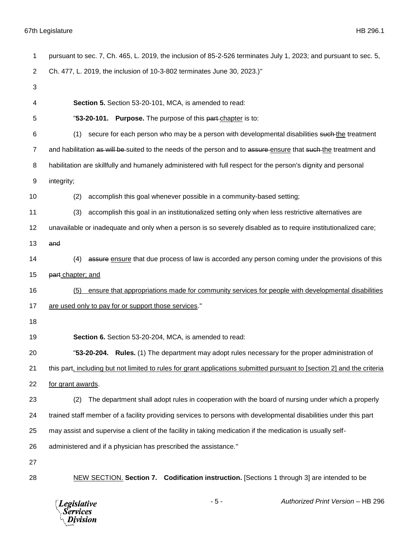| 1              | pursuant to sec. 7, Ch. 465, L. 2019, the inclusion of 85-2-526 terminates July 1, 2023; and pursuant to sec. 5,        |
|----------------|-------------------------------------------------------------------------------------------------------------------------|
| $\overline{2}$ | Ch. 477, L. 2019, the inclusion of 10-3-802 terminates June 30, 2023.)"                                                 |
| 3              |                                                                                                                         |
| 4              | Section 5. Section 53-20-101, MCA, is amended to read:                                                                  |
| 5              | "53-20-101. Purpose. The purpose of this part-chapter is to:                                                            |
| 6              | secure for each person who may be a person with developmental disabilities such the treatment<br>(1)                    |
| $\overline{7}$ | and habilitation as will be suited to the needs of the person and to assure ensure that such the treatment and          |
| 8              | habilitation are skillfully and humanely administered with full respect for the person's dignity and personal           |
| 9              | integrity;                                                                                                              |
| 10             | accomplish this goal whenever possible in a community-based setting;<br>(2)                                             |
| 11             | accomplish this goal in an institutionalized setting only when less restrictive alternatives are<br>(3)                 |
| 12             | unavailable or inadequate and only when a person is so severely disabled as to require institutionalized care;          |
| 13             | and                                                                                                                     |
| 14             | assure ensure that due process of law is accorded any person coming under the provisions of this<br>(4)                 |
| 15             | part chapter; and                                                                                                       |
| 16             | ensure that appropriations made for community services for people with developmental disabilities<br>(5)                |
| 17             | are used only to pay for or support those services."                                                                    |
| 18             |                                                                                                                         |
| 19             | Section 6. Section 53-20-204, MCA, is amended to read:                                                                  |
| 20             | "53-20-204. Rules. (1) The department may adopt rules necessary for the proper administration of                        |
| 21             | this part, including but not limited to rules for grant applications submitted pursuant to [section 2] and the criteria |
| 22             | for grant awards.                                                                                                       |
| 23             | The department shall adopt rules in cooperation with the board of nursing under which a properly<br>(2)                 |
| 24             | trained staff member of a facility providing services to persons with developmental disabilities under this part        |
| 25             | may assist and supervise a client of the facility in taking medication if the medication is usually self-               |
| 26             | administered and if a physician has prescribed the assistance."                                                         |
| 27             |                                                                                                                         |
| 28             | NEW SECTION. Section 7. Codification instruction. [Sections 1 through 3] are intended to be                             |

*Legislative*<br>\Services  $\setminus$ Division